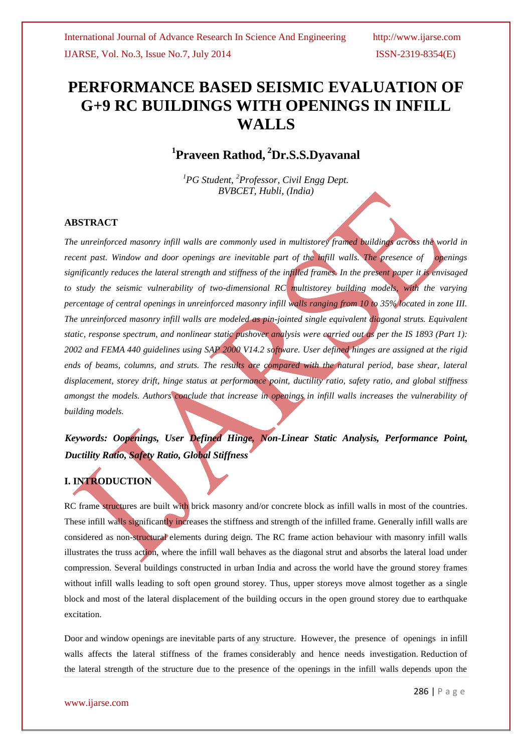# **PERFORMANCE BASED SEISMIC EVALUATION OF G+9 RC BUILDINGS WITH OPENINGS IN INFILL WALLS**

## **1 Praveen Rathod, <sup>2</sup>Dr.S.S.Dyavanal**

*<sup>1</sup>PG Student, <sup>2</sup>Professor, Civil Engg Dept. BVBCET, Hubli, (India)*

## **ABSTRACT**

*The unreinforced masonry infill walls are commonly used in multistorey framed buildings across the world in recent past. Window and door openings are inevitable part of the infill walls. The presence of openings significantly reduces the lateral strength and stiffness of the infilled frames. In the present paper it is envisaged to study the seismic vulnerability of two-dimensional RC multistorey building models, with the varying percentage of central openings in unreinforced masonry infill walls ranging from 10 to 35% located in zone III. The unreinforced masonry infill walls are modeled as pin-jointed single equivalent diagonal struts. Equivalent static, response spectrum, and nonlinear static pushover analysis were carried out as per the IS 1893 (Part 1): 2002 and FEMA 440 guidelines using SAP 2000 V14.2 software. User defined hinges are assigned at the rigid*  ends of beams, columns, and struts. The results are compared with the natural period, base shear, lateral *displacement, storey drift, hinge status at performance point, ductility ratio, safety ratio, and global stiffness amongst the models. Authors conclude that increase in openings in infill walls increases the vulnerability of building models.*

## *Keywords: Oopenings, User Defined Hinge, Non-Linear Static Analysis, Performance Point, Ductility Ratio, Safety Ratio, Global Stiffness*

## **I. INTRODUCTION**

RC frame structures are built with brick masonry and/or concrete block as infill walls in most of the countries. These infill walls significantly increases the stiffness and strength of the infilled frame. Generally infill walls are considered as non-structural elements during deign. The RC frame action behaviour with masonry infill walls illustrates the truss action, where the infill wall behaves as the diagonal strut and absorbs the lateral load under compression. Several buildings constructed in urban India and across the world have the ground storey frames without infill walls leading to soft open ground storey. Thus, upper storeys move almost together as a single block and most of the lateral displacement of the building occurs in the open ground storey due to earthquake excitation.

Door and window openings are inevitable parts of any structure. However, the presence of openings in infill walls affects the lateral stiffness of the frames considerably and hence needs investigation. Reduction of the lateral strength of the structure due to the presence of the openings in the infill walls depends upon the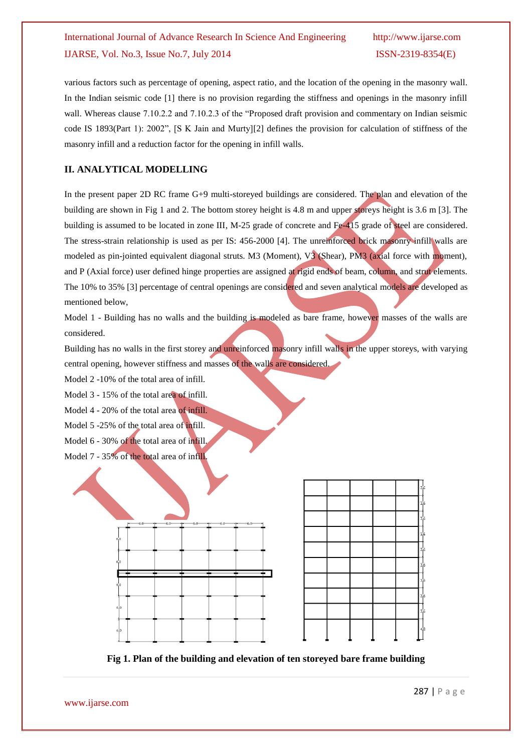various factors such as percentage of opening, aspect ratio, and the location of the opening in the masonry wall. In the Indian seismic code [1] there is no provision regarding the stiffness and openings in the masonry infill wall. Whereas clause 7.10.2.2 and 7.10.2.3 of the "Proposed draft provision and commentary on Indian seismic code IS 1893(Part 1): 2002", [S K Jain and Murty][2] defines the provision for calculation of stiffness of the masonry infill and a reduction factor for the opening in infill walls.

## **II. ANALYTICAL MODELLING**

In the present paper 2D RC frame G+9 multi-storeyed buildings are considered. The plan and elevation of the building are shown in Fig 1 and 2. The bottom storey height is 4.8 m and upper storeys height is 3.6 m [3]. The building is assumed to be located in zone III, M-25 grade of concrete and Fe-415 grade of steel are considered. The stress-strain relationship is used as per IS: 456-2000 [4]. The unreinforced brick masonry infill walls are modeled as pin-jointed equivalent diagonal struts. M3 (Moment), V3 (Shear), PM3 (axial force with moment), and P (Axial force) user defined hinge properties are assigned at rigid ends of beam, column, and strut elements. The 10% to 35% [3] percentage of central openings are considered and seven analytical models are developed as mentioned below,

Model 1 - Building has no walls and the building is modeled as bare frame, however masses of the walls are considered.

Building has no walls in the first storey and unreinforced masonry infill walls in the upper storeys, with varying central opening, however stiffness and masses of the walls are considered.

Model 2 -10% of the total area of infill.

Model 3 - 15% of the total area of infill.

- Model 4 20% of the total area of infill.
- Model 5 -25% of the total area of infill.
- Model 6 30% of the total area of infill.
- Model 7 35% of the total area of infill.



**Fig 1. Plan of the building and elevation of ten storeyed bare frame building**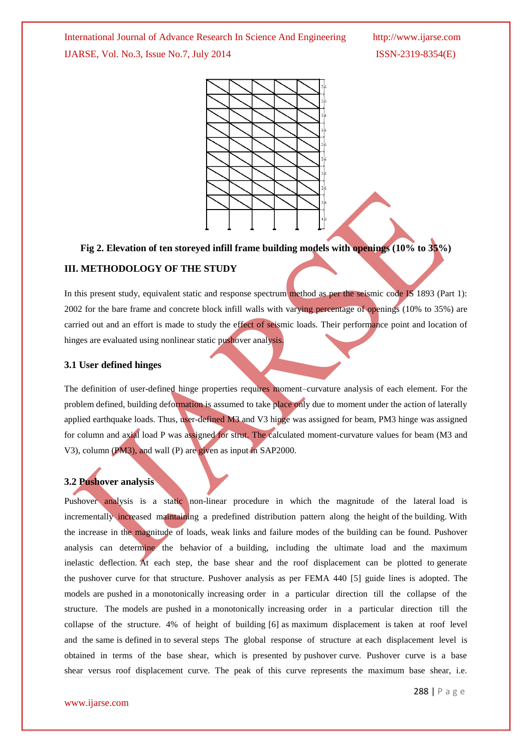

**Fig 2. Elevation of ten storeyed infill frame building models with openings (10% to 35%)**

## **III. METHODOLOGY OF THE STUDY**

In this present study, equivalent static and response spectrum method as per the seismic code IS 1893 (Part 1): 2002 for the bare frame and concrete block infill walls with varying percentage of openings (10% to 35%) are carried out and an effort is made to study the effect of seismic loads. Their performance point and location of hinges are evaluated using nonlinear static pushover analysis.

#### **3.1 User defined hinges**

The definition of user-defined hinge properties requires moment–curvature analysis of each element. For the problem defined, building deformation is assumed to take place only due to moment under the action of laterally applied earthquake loads. Thus, user-defined M3 and V3 hinge was assigned for beam, PM3 hinge was assigned for column and axial load P was assigned for strut. The calculated moment-curvature values for beam (M3 and V3), column (PM3), and wall (P) are given as input in SAP2000.

#### **3.2 Pushover analysis**

Pushover analysis is a static non-linear procedure in which the magnitude of the lateral load is incrementally increased maintaining a predefined distribution pattern along the height of the building. With the increase in the magnitude of loads, weak links and failure modes of the building can be found. Pushover analysis can determine the behavior of a building, including the ultimate load and the maximum inelastic deflection. At each step, the base shear and the roof displacement can be plotted to generate the pushover curve for that structure. Pushover analysis as per FEMA 440 [5] guide lines is adopted. The models are pushed in a monotonically increasing order in a particular direction till the collapse of the structure. The models are pushed in a monotonically increasing order in a particular direction till the collapse of the structure. 4% of height of building [6] as maximum displacement is taken at roof level and the same is defined in to several steps The global response of structure at each displacement level is obtained in terms of the base shear, which is presented by pushover curve. Pushover curve is a base shear versus roof displacement curve. The peak of this curve represents the maximum base shear, i.e.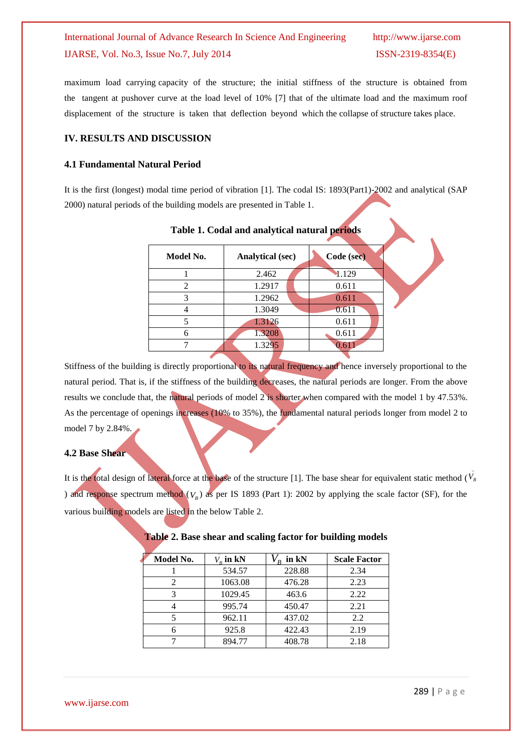maximum load carrying capacity of the structure; the initial stiffness of the structure is obtained from the tangent at pushover curve at the load level of 10% [7] that of the ultimate load and the maximum roof displacement of the structure is taken that deflection beyond which the collapse of structure takes place.

### **IV. RESULTS AND DISCUSSION**

#### **4.1 Fundamental Natural Period**

It is the first (longest) modal time period of vibration [1]. The codal IS: 1893(Part1)-2002 and analytical (SAP 2000) natural periods of the building models are presented in Table 1.

| Model No. | <b>Analytical (sec)</b> | Code (sec) |
|-----------|-------------------------|------------|
|           | 2.462                   | 1.129      |
| 2         | 1.2917                  | 0.611      |
| 3         | 1.2962                  | 0.611      |
|           | 1.3049                  | 0.611      |
|           | 1.3126                  | 0.611      |
|           | 1.3208                  | 0.611      |
|           | 1.3295                  | 0.61       |
|           |                         |            |

#### **Table 1. Codal and analytical natural periods**

Stiffness of the building is directly proportional to its natural frequency and hence inversely proportional to the natural period. That is, if the stiffness of the building decreases, the natural periods are longer. From the above results we conclude that, the natural periods of model 2 is shorter when compared with the model 1 by 47.53%. As the percentage of openings increases (10% to 35%), the fundamental natural periods longer from model 2 to model 7 by 2.84%.

## **4.2 Base Shear**

It is the total design of lateral force at the base of the structure [1]. The base shear for equivalent static method ( $\bar{V}_B$ ) and response spectrum method  $(V_B)$  as per IS 1893 (Part 1): 2002 by applying the scale factor (SF), for the various building models are listed in the below Table 2.

| Model No. | $V_{\scriptscriptstyle \nu}$ in kN | in kN  | <b>Scale Factor</b> |
|-----------|------------------------------------|--------|---------------------|
|           | 534.57                             | 228.88 | 2.34                |
|           | 1063.08                            | 476.28 | 2.23                |
| 3         | 1029.45                            | 463.6  | 2.22                |
|           | 995.74                             | 450.47 | 2.21                |
|           | 962.11                             | 437.02 | 2.2                 |
|           | 925.8                              | 422.43 | 2.19                |
|           | 894.77                             | 408.78 | 2.18                |

#### **Table 2. Base shear and scaling factor for building models**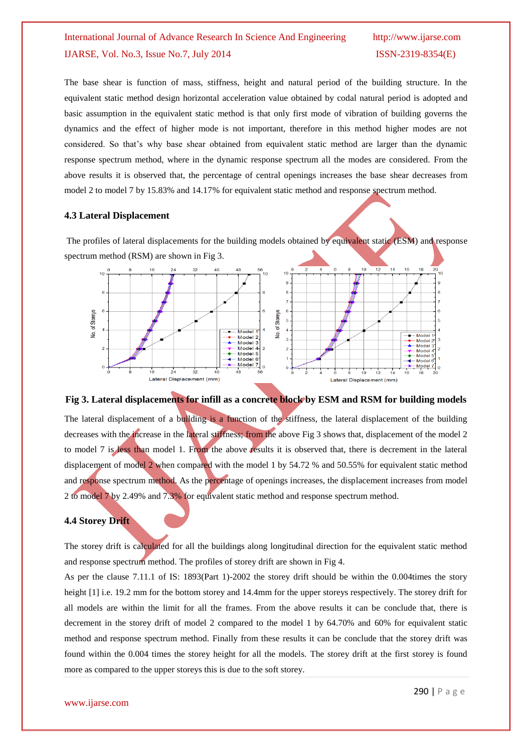The base shear is function of mass, stiffness, height and natural period of the building structure. In the equivalent static method design horizontal acceleration value obtained by codal natural period is adopted and basic assumption in the equivalent static method is that only first mode of vibration of building governs the dynamics and the effect of higher mode is not important, therefore in this method higher modes are not considered. So that's why base shear obtained from equivalent static method are larger than the dynamic response spectrum method, where in the dynamic response spectrum all the modes are considered. From the above results it is observed that, the percentage of central openings increases the base shear decreases from model 2 to model 7 by 15.83% and 14.17% for equivalent static method and response spectrum method.

#### **4.3 Lateral Displacement**

The profiles of lateral displacements for the building models obtained by equivalent static (ESM) and response spectrum method (RSM) are shown in Fig 3.



## **Fig 3. Lateral displacements for infill as a concrete block by ESM and RSM for building models** The lateral displacement of a building is a function of the stiffness, the lateral displacement of the building decreases with the increase in the lateral stiffness; from the above Fig 3 shows that, displacement of the model 2 to model 7 is less than model 1. From the above results it is observed that, there is decrement in the lateral displacement of model 2 when compared with the model 1 by 54.72 % and 50.55% for equivalent static method and response spectrum method. As the percentage of openings increases, the displacement increases from model 2 to model 7 by 2.49% and 7.3% for equivalent static method and response spectrum method.

#### **4.4 Storey Drift**

The storey drift is calculated for all the buildings along longitudinal direction for the equivalent static method and response spectrum method. The profiles of storey drift are shown in Fig 4.

As per the clause 7.11.1 of IS: 1893(Part 1)-2002 the storey drift should be within the 0.004times the story height [1] i.e. 19.2 mm for the bottom storey and 14.4mm for the upper storeys respectively. The storey drift for all models are within the limit for all the frames. From the above results it can be conclude that, there is decrement in the storey drift of model 2 compared to the model 1 by 64.70% and 60% for equivalent static method and response spectrum method. Finally from these results it can be conclude that the storey drift was found within the 0.004 times the storey height for all the models. The storey drift at the first storey is found more as compared to the upper storeys this is due to the soft storey.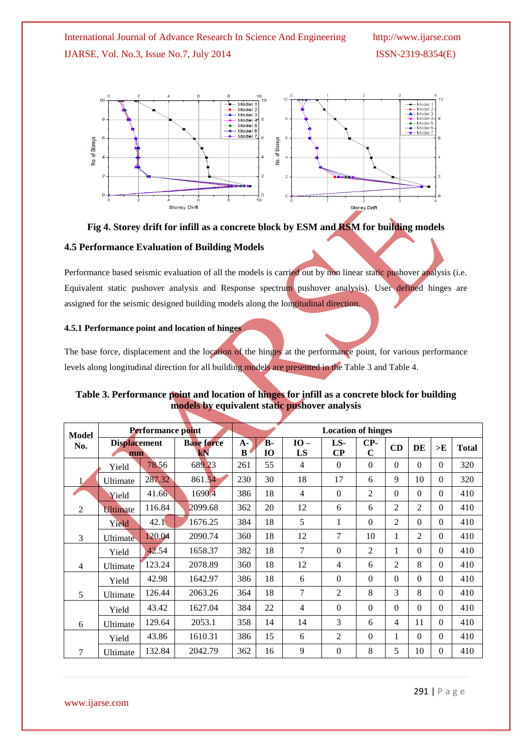

**Fig 4. Storey drift for infill as a concrete block by ESM and RSM for building models**

### **4.5 Performance Evaluation of Building Models**

Performance based seismic evaluation of all the models is carried out by non linear static pushover analysis (i.e. Equivalent static pushover analysis and Response spectrum pushover analysis). User defined hinges are assigned for the seismic designed building models along the longitudinal direction.

#### **4.5.1 Performance point and location of hinges**

The base force, displacement and the location of the hinges at the performance point, for various performance levels along longitudinal direction for all building models are presented in the Table 3 and Table 4.

| Table 3. Performance point and location of hinges for infill as a concrete block for building |
|-----------------------------------------------------------------------------------------------|
| models by equivalent static pushover analysis                                                 |
|                                                                                               |
|                                                                                               |

| <b>Model</b>   | Performance point         |        |                         | <b>Location of hinges</b> |          |              |                 |                    |                |                |          |              |
|----------------|---------------------------|--------|-------------------------|---------------------------|----------|--------------|-----------------|--------------------|----------------|----------------|----------|--------------|
| No.            | <b>Displacement</b><br>mm |        | <b>Base force</b><br>kN | $A -$<br>B                | B-<br>10 | $IO -$<br>LS | LS-<br>$\bf CP$ | CP-<br>$\mathbf C$ | CD             | DE             | >E       | <b>Total</b> |
|                | Yield                     | 78.56  | 689.23                  | 261                       | 55       | 4            | $\Omega$        | $\Omega$           | $\Omega$       | $\theta$       | $\Omega$ | 320          |
|                | Ultimate                  | 287.32 | 861.54                  | 230                       | 30       | 18           | 17              | 6                  | 9              | 10             | $\Omega$ | 320          |
|                | Yield                     | 41.66  | 1690.4                  | 386                       | 18       | 4            | $\Omega$        | 2                  | $\Omega$       | $\Omega$       | $\Omega$ | 410          |
| $\overline{2}$ | <b>Ultimate</b>           | 116.84 | 2099.68                 | 362                       | 20       | 12           | 6               | 6                  | 2              | $\overline{2}$ | $\Omega$ | 410          |
|                | Yield                     | 42.1   | 1676.25                 | 384                       | 18       | 5            | 1               | $\Omega$           | 2              | $\Omega$       | $\Omega$ | 410          |
| 3              | Ultimate                  | 120.04 | 2090.74                 | 360                       | 18       | 12           | 7               | 10                 | 1              | $\overline{2}$ | $\Omega$ | 410          |
|                | Yield                     | 42.54  | 1658.37                 | 382                       | 18       | 7            | $\Omega$        | 2                  | 1              | $\Omega$       | $\Omega$ | 410          |
| 4              | Ultimate                  | 123.24 | 2078.89                 | 360                       | 18       | 12           | $\overline{4}$  | 6                  | $\overline{2}$ | 8              | $\Omega$ | 410          |
|                | Yield                     | 42.98  | 1642.97                 | 386                       | 18       | 6            | $\Omega$        | $\Omega$           | $\Omega$       | $\Omega$       | $\Omega$ | 410          |
| 5              | Ultimate                  | 126.44 | 2063.26                 | 364                       | 18       | 7            | 2               | 8                  | $\overline{3}$ | 8              | $\Omega$ | 410          |
|                | Yield                     | 43.42  | 1627.04                 | 384                       | 22       | 4            | $\Omega$        | $\Omega$           | $\Omega$       | $\Omega$       | $\Omega$ | 410          |
| 6              | Ultimate                  | 129.64 | 2053.1                  | 358                       | 14       | 14           | 3               | 6                  | $\overline{4}$ | 11             | $\Omega$ | 410          |
|                | Yield                     | 43.86  | 1610.31                 | 386                       | 15       | 6            | $\overline{2}$  | $\Omega$           | 1              | $\theta$       | $\Omega$ | 410          |
| 7              | Ultimate                  | 132.84 | 2042.79                 | 362                       | 16       | 9            | $\Omega$        | 8                  | 5              | 10             | $\Omega$ | 410          |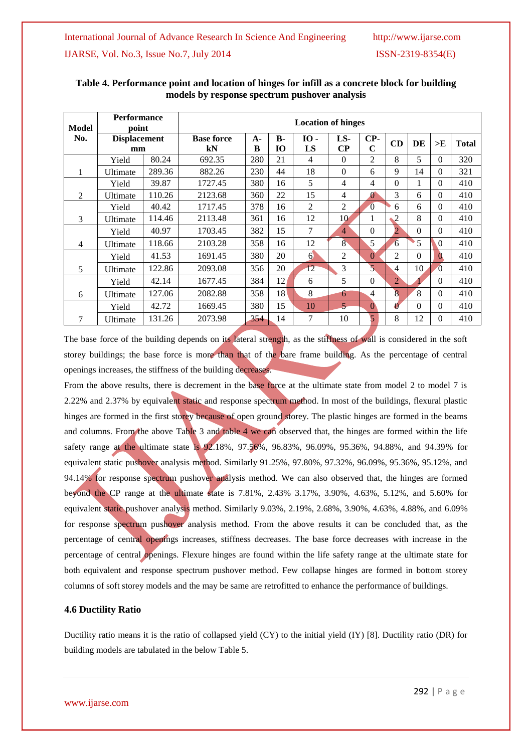| Model | Performance<br>point      |        | <b>Location of hinges</b> |            |                 |            |                 |                    |                         |          |              |              |
|-------|---------------------------|--------|---------------------------|------------|-----------------|------------|-----------------|--------------------|-------------------------|----------|--------------|--------------|
| No.   | <b>Displacement</b><br>mm |        | <b>Base force</b><br>kN   | $A -$<br>B | <b>B-</b><br>10 | ю.<br>LS   | LS-<br>$\bf CP$ | CP-<br>$\mathbf C$ | CD                      | DE       | >E           | <b>Total</b> |
|       | Yield                     | 80.24  | 692.35                    | 280        | 21              | 4          | $\theta$        | $\overline{2}$     | 8                       | 5        | $\Omega$     | 320          |
| 1     | Ultimate                  | 289.36 | 882.26                    | 230        | 44              | 18         | $\mathbf{0}$    | 6                  | 9                       | 14       | $\Omega$     | 321          |
|       | Yield                     | 39.87  | 1727.45                   | 380        | 16              | 5          | $\overline{4}$  | 4                  | $\Omega$                | 1        | $\Omega$     | 410          |
| 2     | Ultimate                  | 110.26 | 2123.68                   | 360        | 22              | 15         | 4               | $\mathbf{0}$       | 3                       | 6        | $\Omega$     | 410          |
|       | Yield                     | 40.42  | 1717.45                   | 378        | 16              | 2          | 2               | $\overline{0}$     | 6                       | 6        | $\Omega$     | 410          |
| 3     | Ultimate                  | 114.46 | 2113.48                   | 361        | 16              | 12         | 10              | 1                  | $\overline{\mathbf{c}}$ | 8        | $\theta$     | 410          |
|       | Yield                     | 40.97  | 1703.45                   | 382        | 15              | 7          | $\overline{4}$  | $\Omega$           | $\overline{2}$          | $\Omega$ | $\theta$     | 410          |
| 4     | Ultimate                  | 118.66 | 2103.28                   | 358        | 16              | 12         | $8^{\circ}$     | 5                  | 6                       | 5        | $\Omega$     | 410          |
|       | Yield                     | 41.53  | 1691.45                   | 380        | 20              | $\epsilon$ | $\overline{2}$  | $\Omega$           | $\overline{c}$          | $\Omega$ | $\mathbf{0}$ | 410          |
| 5     | Ultimate                  | 122.86 | 2093.08                   | 356        | 20              | 12         | 3               | $\overline{5}$     | 4                       | 10       | $\Omega$     | 410          |
|       | Yield                     | 42.14  | 1677.45                   | 384        | 12              | 6          | 5               | $\Omega$           | $\overline{2}$          |          | $\Omega$     | 410          |
| 6     | Ultimate                  | 127.06 | 2082.88                   | 358        | 18              | 8          | 6               | 4                  | 8                       | 8        | $\Omega$     | 410          |
|       | Yield                     | 42.72  | 1669.45                   | 380        | 15              | 10         | $\overline{5}$  | $\mathbf{0}$       | $\boldsymbol{0}$        | $\Omega$ | $\Omega$     | 410          |
| 7     | Ultimate                  | 131.26 | 2073.98                   | 354        | 14              | 7          | 10              | 5                  | 8                       | 12       | $\Omega$     | 410          |

### **Table 4. Performance point and location of hinges for infill as a concrete block for building models by response spectrum pushover analysis**

The base force of the building depends on its lateral strength, as the stiffness of wall is considered in the soft storey buildings; the base force is more than that of the bare frame building. As the percentage of central openings increases, the stiffness of the building decreases.

From the above results, there is decrement in the base force at the ultimate state from model 2 to model 7 is 2.22% and 2.37% by equivalent static and response spectrum method. In most of the buildings, flexural plastic hinges are formed in the first storey because of open ground storey. The plastic hinges are formed in the beams and columns. From the above Table 3 and table 4 we can observed that, the hinges are formed within the life safety range at the ultimate state is 92.18%, 97.56%, 96.83%, 96.09%, 95.36%, 94.88%, and 94.39% for equivalent static pushover analysis method. Similarly 91.25%, 97.80%, 97.32%, 96.09%, 95.36%, 95.12%, and 94.14% for response spectrum pushover analysis method. We can also observed that, the hinges are formed beyond the CP range at the ultimate state is 7.81%, 2.43% 3.17%, 3.90%, 4.63%, 5.12%, and 5.60% for equivalent static pushover analysis method. Similarly 9.03%, 2.19%, 2.68%, 3.90%, 4.63%, 4.88%, and 6.09% for response spectrum pushover analysis method. From the above results it can be concluded that, as the percentage of central openings increases, stiffness decreases. The base force decreases with increase in the percentage of central openings. Flexure hinges are found within the life safety range at the ultimate state for both equivalent and response spectrum pushover method. Few collapse hinges are formed in bottom storey columns of soft storey models and the may be same are retrofitted to enhance the performance of buildings.

### **4.6 Ductility Ratio**

Ductility ratio means it is the ratio of collapsed yield (CY) to the initial yield (IY) [8]. Ductility ratio (DR) for building models are tabulated in the below Table 5.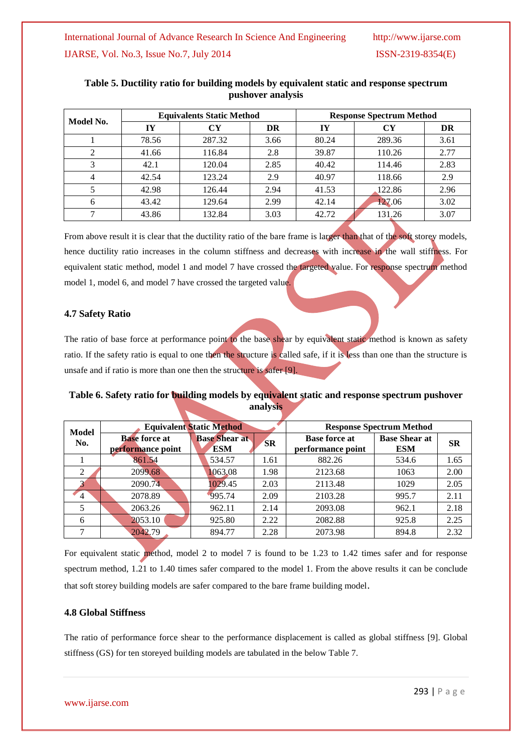| Model No.      |       | <b>Equivalents Static Method</b> |      |       | <b>Response Spectrum Method</b> |      |
|----------------|-------|----------------------------------|------|-------|---------------------------------|------|
|                | IY    | CY                               | DR   | IY    | <b>CY</b>                       | DR   |
|                | 78.56 | 287.32                           | 3.66 | 80.24 | 289.36                          | 3.61 |
| $\mathfrak{D}$ | 41.66 | 116.84                           | 2.8  | 39.87 | 110.26                          | 2.77 |
| 3              | 42.1  | 120.04                           | 2.85 | 40.42 | 114.46                          | 2.83 |
|                | 42.54 | 123.24                           | 2.9  | 40.97 | 118.66                          | 2.9  |
|                | 42.98 | 126.44                           | 2.94 | 41.53 | 122.86                          | 2.96 |
| 6              | 43.42 | 129.64                           | 2.99 | 42.14 | 127.06                          | 3.02 |
| 43.86          |       | 132.84                           | 3.03 | 42.72 | 131.26                          | 3.07 |
|                |       |                                  |      |       |                                 |      |

### **Table 5. Ductility ratio for building models by equivalent static and response spectrum pushover analysis**

From above result it is clear that the ductility ratio of the bare frame is larger than that of the soft storey models, hence ductility ratio increases in the column stiffness and decreases with increase in the wall stiffness. For equivalent static method, model 1 and model 7 have crossed the targeted value. For response spectrum method model 1, model 6, and model 7 have crossed the targeted value.

#### **4.7 Safety Ratio**

The ratio of base force at performance point to the base shear by equivalent static method is known as safety ratio. If the safety ratio is equal to one then the structure is called safe, if it is less than one than the structure is unsafe and if ratio is more than one then the structure is safer [9].

## **Table 6. Safety ratio for building models by equivalent static and response spectrum pushover analysis**

| Model          |                                           | <b>Equivalent Static Method</b>    | <b>Response Spectrum Method</b> |                                           |                                    |           |
|----------------|-------------------------------------------|------------------------------------|---------------------------------|-------------------------------------------|------------------------------------|-----------|
| No.            | <b>Base force at</b><br>performance point | <b>Base Shear at</b><br><b>ESM</b> | <b>SR</b>                       | <b>Base force at</b><br>performance point | <b>Base Shear at</b><br><b>ESM</b> | <b>SR</b> |
|                | 861.54                                    | 534.57                             | 1.61                            | 882.26                                    | 534.6                              | 1.65      |
| 2              | 2099.68                                   | 1063.08                            | 1.98                            | 2123.68                                   | 1063                               | 2.00      |
|                | 2090.74                                   | 1029.45                            | 2.03                            | 2113.48                                   | 1029                               | 2.05      |
| $\overline{4}$ | 2078.89                                   | 995.74                             | 2.09                            | 2103.28                                   | 995.7                              | 2.11      |
|                | 2063.26                                   | 962.11                             | 2.14                            | 2093.08                                   | 962.1                              | 2.18      |
| 6              | 2053.10                                   | 925.80                             | 2.22                            | 2082.88                                   | 925.8                              | 2.25      |
|                | 2042.79                                   | 894.77                             | 2.28                            | 2073.98                                   | 894.8                              | 2.32      |

For equivalent static method, model 2 to model 7 is found to be 1.23 to 1.42 times safer and for response spectrum method, 1.21 to 1.40 times safer compared to the model 1. From the above results it can be conclude that soft storey building models are safer compared to the bare frame building model.

### **4.8 Global Stiffness**

The ratio of performance force shear to the performance displacement is called as global stiffness [9]. Global stiffness (GS) for ten storeyed building models are tabulated in the below Table 7.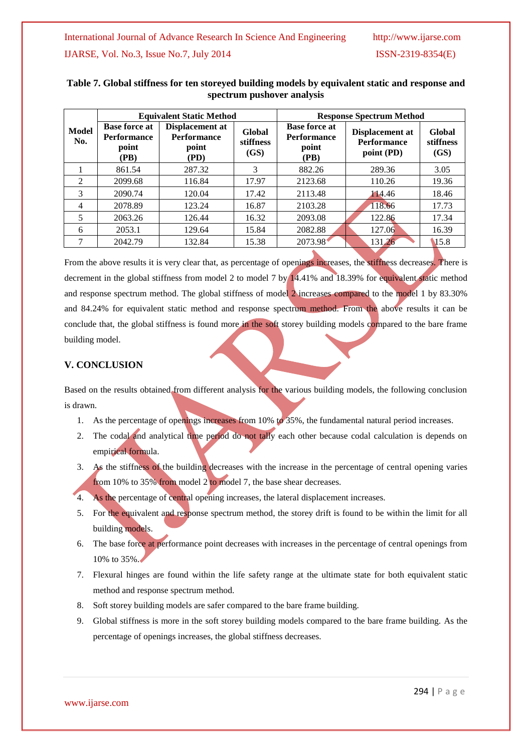|                     |                                                             | <b>Equivalent Static Method</b>                        |                             | <b>Response Spectrum Method</b>                             |                                                     |                             |  |  |
|---------------------|-------------------------------------------------------------|--------------------------------------------------------|-----------------------------|-------------------------------------------------------------|-----------------------------------------------------|-----------------------------|--|--|
| <b>Model</b><br>No. | <b>Base force at</b><br><b>Performance</b><br>point<br>(PB) | Displacement at<br><b>Performance</b><br>point<br>(PD) | Global<br>stiffness<br>(GS) | <b>Base force at</b><br><b>Performance</b><br>point<br>(PB) | Displacement at<br><b>Performance</b><br>point (PD) | Global<br>stiffness<br>(GS) |  |  |
|                     | 861.54                                                      | 287.32                                                 | 3                           | 882.26                                                      | 289.36                                              | 3.05                        |  |  |
| 2                   | 2099.68                                                     | 116.84                                                 | 17.97                       | 2123.68                                                     | 110.26                                              | 19.36                       |  |  |
| 3                   | 2090.74                                                     | 120.04                                                 | 17.42                       | 2113.48                                                     | 114.46                                              | 18.46                       |  |  |
| 4                   | 2078.89                                                     | 123.24                                                 | 16.87                       | 2103.28                                                     | 118.66                                              | 17.73                       |  |  |
| 5                   | 2063.26                                                     | 126.44                                                 | 16.32                       | 2093.08                                                     | 122.86                                              | 17.34                       |  |  |
| 6                   | 2053.1                                                      | 129.64                                                 | 15.84                       | 2082.88                                                     | 127.06                                              | 16.39                       |  |  |
| 7                   | 2042.79                                                     | 132.84                                                 | 15.38                       | 2073.98                                                     | 131.26                                              | 15.8                        |  |  |

### **Table 7. Global stiffness for ten storeyed building models by equivalent static and response and spectrum pushover analysis**

From the above results it is very clear that, as percentage of openings increases, the stiffness decreases. There is decrement in the global stiffness from model 2 to model 7 by 14.41% and 18.39% for equivalent static method and response spectrum method. The global stiffness of model 2 increases compared to the model 1 by 83.30% and 84.24% for equivalent static method and response spectrum method. From the above results it can be conclude that, the global stiffness is found more in the soft storey building models compared to the bare frame building model.

## **V. CONCLUSION**

Based on the results obtained from different analysis for the various building models, the following conclusion is drawn.

- 1. As the percentage of openings increases from 10% to 35%, the fundamental natural period increases.
- 2. The codal and analytical time period do not tally each other because codal calculation is depends on empirical formula.
- 3. As the stiffness of the building decreases with the increase in the percentage of central opening varies from 10% to 35% from model 2 to model 7, the base shear decreases.
- 4. As the percentage of central opening increases, the lateral displacement increases.
- 5. For the equivalent and response spectrum method, the storey drift is found to be within the limit for all building models.
- 6. The base force at performance point decreases with increases in the percentage of central openings from 10% to 35%.
- 7. Flexural hinges are found within the life safety range at the ultimate state for both equivalent static method and response spectrum method.
- 8. Soft storey building models are safer compared to the bare frame building.
- 9. Global stiffness is more in the soft storey building models compared to the bare frame building. As the percentage of openings increases, the global stiffness decreases.